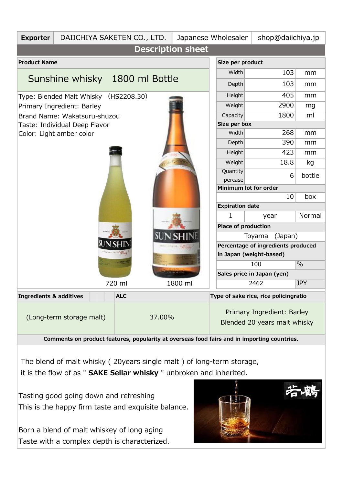| <b>Exporter</b>                                                                             |                                | DAIICHIYA SAKETEN CO., LTD.        |                            |                      | Japanese Wholesaler          |                                       | shop@daiichiya.jp |  |  |  |  |
|---------------------------------------------------------------------------------------------|--------------------------------|------------------------------------|----------------------------|----------------------|------------------------------|---------------------------------------|-------------------|--|--|--|--|
| <b>Description sheet</b>                                                                    |                                |                                    |                            |                      |                              |                                       |                   |  |  |  |  |
| <b>Product Name</b>                                                                         |                                | Size per product                   |                            |                      |                              |                                       |                   |  |  |  |  |
|                                                                                             |                                | Width                              | 103                        | mm                   |                              |                                       |                   |  |  |  |  |
|                                                                                             | Sunshine whisky 1800 ml Bottle | Depth                              | 103                        | mm                   |                              |                                       |                   |  |  |  |  |
|                                                                                             | Type: Blended Malt Whisky      | Height                             | 405                        | mm                   |                              |                                       |                   |  |  |  |  |
|                                                                                             | Primary Ingredient: Barley     | Weight                             | 2900                       | mg                   |                              |                                       |                   |  |  |  |  |
|                                                                                             | Brand Name: Wakatsuru-shuzou   | Capacity                           | 1800                       | ml                   |                              |                                       |                   |  |  |  |  |
|                                                                                             | Taste: Individual Deep Flavor  | Size per box                       |                            |                      |                              |                                       |                   |  |  |  |  |
|                                                                                             | Color: Light amber color       |                                    | Width                      | 268                  | mm                           |                                       |                   |  |  |  |  |
|                                                                                             |                                |                                    | Depth                      | 390                  | mm                           |                                       |                   |  |  |  |  |
|                                                                                             |                                |                                    | Height                     | 423                  | mm                           |                                       |                   |  |  |  |  |
|                                                                                             |                                |                                    |                            |                      | Weight                       | 18.8                                  | kg                |  |  |  |  |
|                                                                                             |                                | Quantity                           | 6                          | bottle               |                              |                                       |                   |  |  |  |  |
|                                                                                             |                                |                                    | percase                    |                      |                              |                                       |                   |  |  |  |  |
|                                                                                             |                                | Minimum lot for order<br>10<br>box |                            |                      |                              |                                       |                   |  |  |  |  |
|                                                                                             |                                | <b>Expiration date</b>             |                            |                      |                              |                                       |                   |  |  |  |  |
|                                                                                             |                                | Normal<br>1<br>year                |                            |                      |                              |                                       |                   |  |  |  |  |
|                                                                                             |                                | Place of production                |                            |                      |                              |                                       |                   |  |  |  |  |
|                                                                                             |                                |                                    |                            |                      |                              | (Japan)<br>Toyama                     |                   |  |  |  |  |
|                                                                                             |                                |                                    |                            |                      |                              | Percentage of ingredients produced    |                   |  |  |  |  |
|                                                                                             |                                |                                    |                            |                      | in Japan (weight-based)      |                                       |                   |  |  |  |  |
|                                                                                             |                                |                                    |                            | $\frac{0}{0}$<br>100 |                              |                                       |                   |  |  |  |  |
|                                                                                             |                                |                                    | Sales price in Japan (yen) |                      |                              |                                       |                   |  |  |  |  |
|                                                                                             |                                | 720 ml                             |                            | 1800 ml              |                              | 2462                                  | <b>JPY</b>        |  |  |  |  |
| <b>Ingredients &amp; additives</b>                                                          |                                | <b>ALC</b>                         |                            |                      |                              | Type of sake rice, rice policingratio |                   |  |  |  |  |
|                                                                                             |                                |                                    |                            |                      | Primary Ingredient: Barley   |                                       |                   |  |  |  |  |
| (Long-term storage malt)<br>37.00%                                                          |                                |                                    |                            |                      | Blended 20 years malt whisky |                                       |                   |  |  |  |  |
| Comments on product features, popularity at overseas food fairs and in importing countries. |                                |                                    |                            |                      |                              |                                       |                   |  |  |  |  |

 The blend of malt whisky ( 20years single malt ) of long-term storage, it is the flow of as " **SAKE Sellar whisky** " unbroken and inherited.

Tasting good going down and refreshing This is the happy firm taste and exquisite balance.

Born a blend of malt whiskey of long aging Taste with a complex depth is characterized.